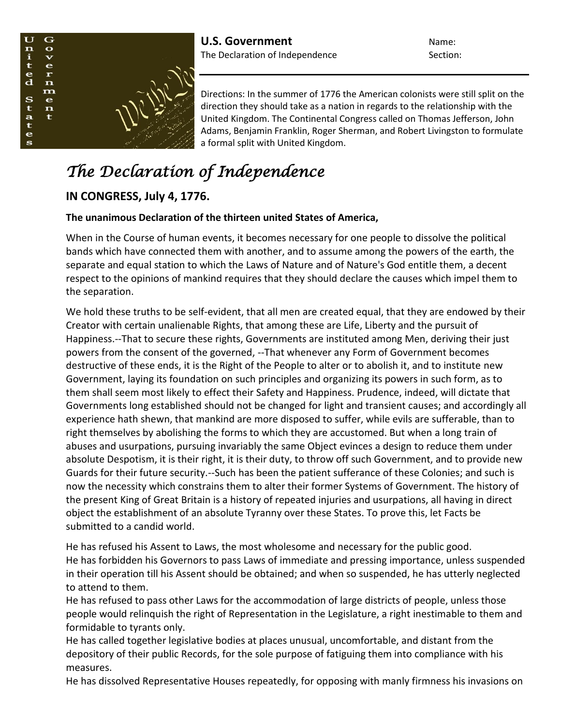

Directions: In the summer of 1776 the American colonists were still split on the direction they should take as a nation in regards to the relationship with the United Kingdom. The Continental Congress called on Thomas Jefferson, John Adams, Benjamin Franklin, Roger Sherman, and Robert Livingston to formulate a formal split with United Kingdom.

## *The Declaration of Independence*

## **IN CONGRESS, July 4, 1776.**

## **The unanimous Declaration of the thirteen united States of America,**

When in the Course of human events, it becomes necessary for one people to dissolve the political bands which have connected them with another, and to assume among the powers of the earth, the separate and equal station to which the Laws of Nature and of Nature's God entitle them, a decent respect to the opinions of mankind requires that they should declare the causes which impel them to the separation.

We hold these truths to be self-evident, that all men are created equal, that they are endowed by their Creator with certain unalienable Rights, that among these are Life, Liberty and the pursuit of Happiness.--That to secure these rights, Governments are instituted among Men, deriving their just powers from the consent of the governed, --That whenever any Form of Government becomes destructive of these ends, it is the Right of the People to alter or to abolish it, and to institute new Government, laying its foundation on such principles and organizing its powers in such form, as to them shall seem most likely to effect their Safety and Happiness. Prudence, indeed, will dictate that Governments long established should not be changed for light and transient causes; and accordingly all experience hath shewn, that mankind are more disposed to suffer, while evils are sufferable, than to right themselves by abolishing the forms to which they are accustomed. But when a long train of abuses and usurpations, pursuing invariably the same Object evinces a design to reduce them under absolute Despotism, it is their right, it is their duty, to throw off such Government, and to provide new Guards for their future security.--Such has been the patient sufferance of these Colonies; and such is now the necessity which constrains them to alter their former Systems of Government. The history of the present King of Great Britain is a history of repeated injuries and usurpations, all having in direct object the establishment of an absolute Tyranny over these States. To prove this, let Facts be submitted to a candid world.

He has refused his Assent to Laws, the most wholesome and necessary for the public good. He has forbidden his Governors to pass Laws of immediate and pressing importance, unless suspended in their operation till his Assent should be obtained; and when so suspended, he has utterly neglected to attend to them.

He has refused to pass other Laws for the accommodation of large districts of people, unless those people would relinquish the right of Representation in the Legislature, a right inestimable to them and formidable to tyrants only.

He has called together legislative bodies at places unusual, uncomfortable, and distant from the depository of their public Records, for the sole purpose of fatiguing them into compliance with his measures.

He has dissolved Representative Houses repeatedly, for opposing with manly firmness his invasions on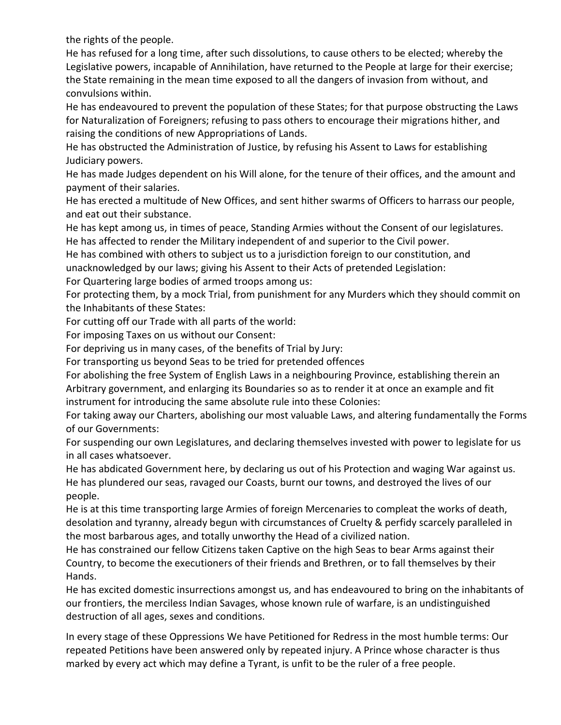the rights of the people.

He has refused for a long time, after such dissolutions, to cause others to be elected; whereby the Legislative powers, incapable of Annihilation, have returned to the People at large for their exercise; the State remaining in the mean time exposed to all the dangers of invasion from without, and convulsions within.

He has endeavoured to prevent the population of these States; for that purpose obstructing the Laws for Naturalization of Foreigners; refusing to pass others to encourage their migrations hither, and raising the conditions of new Appropriations of Lands.

He has obstructed the Administration of Justice, by refusing his Assent to Laws for establishing Judiciary powers.

He has made Judges dependent on his Will alone, for the tenure of their offices, and the amount and payment of their salaries.

He has erected a multitude of New Offices, and sent hither swarms of Officers to harrass our people, and eat out their substance.

He has kept among us, in times of peace, Standing Armies without the Consent of our legislatures. He has affected to render the Military independent of and superior to the Civil power.

He has combined with others to subject us to a jurisdiction foreign to our constitution, and unacknowledged by our laws; giving his Assent to their Acts of pretended Legislation:

For Quartering large bodies of armed troops among us:

For protecting them, by a mock Trial, from punishment for any Murders which they should commit on the Inhabitants of these States:

For cutting off our Trade with all parts of the world:

For imposing Taxes on us without our Consent:

For depriving us in many cases, of the benefits of Trial by Jury:

For transporting us beyond Seas to be tried for pretended offences

For abolishing the free System of English Laws in a neighbouring Province, establishing therein an Arbitrary government, and enlarging its Boundaries so as to render it at once an example and fit instrument for introducing the same absolute rule into these Colonies:

For taking away our Charters, abolishing our most valuable Laws, and altering fundamentally the Forms of our Governments:

For suspending our own Legislatures, and declaring themselves invested with power to legislate for us in all cases whatsoever.

He has abdicated Government here, by declaring us out of his Protection and waging War against us. He has plundered our seas, ravaged our Coasts, burnt our towns, and destroyed the lives of our people.

He is at this time transporting large Armies of foreign Mercenaries to compleat the works of death, desolation and tyranny, already begun with circumstances of Cruelty & perfidy scarcely paralleled in the most barbarous ages, and totally unworthy the Head of a civilized nation.

He has constrained our fellow Citizens taken Captive on the high Seas to bear Arms against their Country, to become the executioners of their friends and Brethren, or to fall themselves by their Hands.

He has excited domestic insurrections amongst us, and has endeavoured to bring on the inhabitants of our frontiers, the merciless Indian Savages, whose known rule of warfare, is an undistinguished destruction of all ages, sexes and conditions.

In every stage of these Oppressions We have Petitioned for Redress in the most humble terms: Our repeated Petitions have been answered only by repeated injury. A Prince whose character is thus marked by every act which may define a Tyrant, is unfit to be the ruler of a free people.